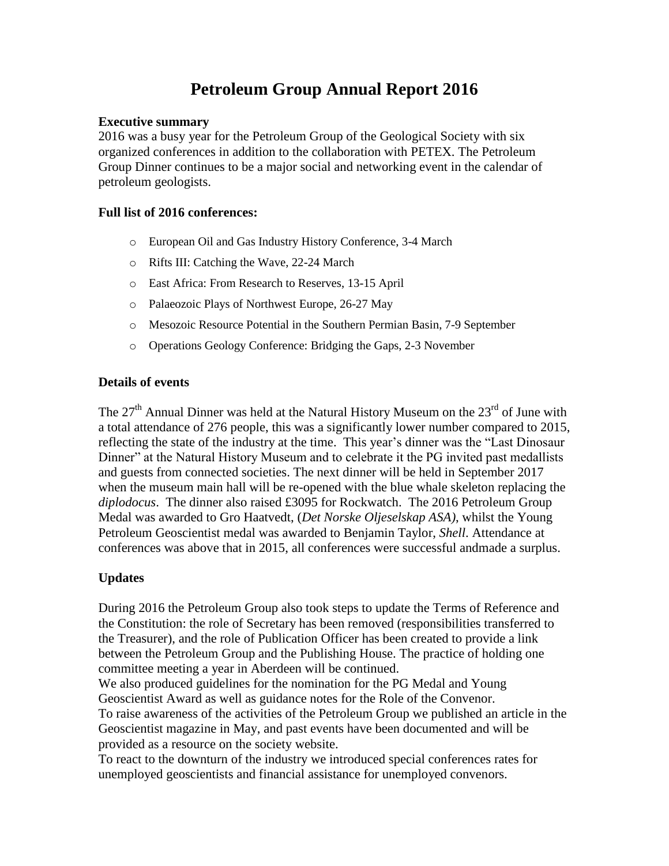# **Petroleum Group Annual Report 2016**

#### **Executive summary**

2016 was a busy year for the Petroleum Group of the Geological Society with six organized conferences in addition to the collaboration with PETEX. The Petroleum Group Dinner continues to be a major social and networking event in the calendar of petroleum geologists.

### **Full list of 2016 conferences:**

- o European Oil and Gas Industry History Conference, 3-4 March
- o Rifts III: Catching the Wave, 22-24 March
- o East Africa: From Research to Reserves, 13-15 April
- o Palaeozoic Plays of Northwest Europe, 26-27 May
- o Mesozoic Resource Potential in the Southern Permian Basin, 7-9 September
- o Operations Geology Conference: Bridging the Gaps, 2-3 November

#### **Details of events**

The  $27<sup>th</sup>$  Annual Dinner was held at the Natural History Museum on the  $23<sup>rd</sup>$  of June with a total attendance of 276 people, this was a significantly lower number compared to 2015, reflecting the state of the industry at the time. This year's dinner was the "Last Dinosaur Dinner" at the Natural History Museum and to celebrate it the PG invited past medallists and guests from connected societies. The next dinner will be held in September 2017 when the museum main hall will be re-opened with the blue whale skeleton replacing the *diplodocus*. The dinner also raised £3095 for Rockwatch. The 2016 Petroleum Group Medal was awarded to Gro Haatvedt, (*Det Norske Oljeselskap ASA)*, whilst the Young Petroleum Geoscientist medal was awarded to Benjamin Taylor, *Shell*. Attendance at conferences was above that in 2015, all conferences were successful andmade a surplus.

#### **Updates**

During 2016 the Petroleum Group also took steps to update the Terms of Reference and the Constitution: the role of Secretary has been removed (responsibilities transferred to the Treasurer), and the role of Publication Officer has been created to provide a link between the Petroleum Group and the Publishing House. The practice of holding one committee meeting a year in Aberdeen will be continued.

We also produced guidelines for the nomination for the PG Medal and Young Geoscientist Award as well as guidance notes for the Role of the Convenor.

To raise awareness of the activities of the Petroleum Group we published an article in the Geoscientist magazine in May, and past events have been documented and will be provided as a resource on the society website.

To react to the downturn of the industry we introduced special conferences rates for unemployed geoscientists and financial assistance for unemployed convenors.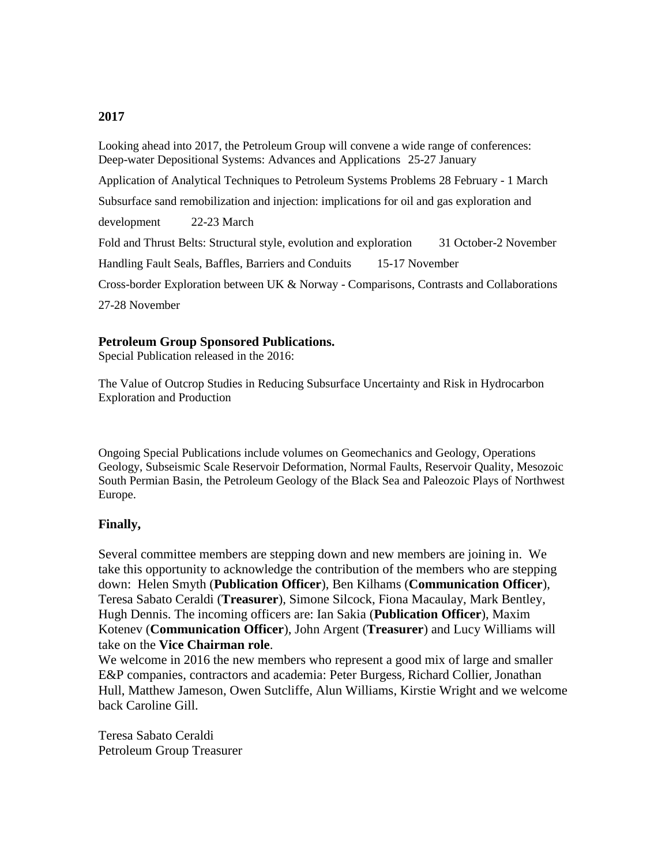#### **2017**

Looking ahead into 2017, the Petroleum Group will convene a wide range of conferences: Deep-water Depositional Systems: Advances and Applications 25-27 January Application of Analytical Techniques to Petroleum Systems Problems 28 February - 1 March Subsurface sand remobilization and injection: implications for oil and gas exploration and development 22-23 March Fold and Thrust Belts: Structural style, evolution and exploration 31 October-2 November Handling Fault Seals, Baffles, Barriers and Conduits 15-17 November Cross-border Exploration between UK & Norway - Comparisons, Contrasts and Collaborations 27-28 November

#### **Petroleum Group Sponsored Publications.**

Special Publication released in the 2016:

The Value of Outcrop Studies in Reducing Subsurface Uncertainty and Risk in Hydrocarbon Exploration and Production

Ongoing Special Publications include volumes on Geomechanics and Geology, Operations Geology, Subseismic Scale Reservoir Deformation, Normal Faults, Reservoir Quality, Mesozoic South Permian Basin, the Petroleum Geology of the Black Sea and Paleozoic Plays of Northwest Europe.

#### **Finally,**

Several committee members are stepping down and new members are joining in. We take this opportunity to acknowledge the contribution of the members who are stepping down: Helen Smyth (**Publication Officer**), Ben Kilhams (**Communication Officer**), Teresa Sabato Ceraldi (**Treasurer**), Simone Silcock, Fiona Macaulay, Mark Bentley, Hugh Dennis. The incoming officers are: Ian Sakia (**Publication Officer**), Maxim Kotenev (**Communication Officer**), John Argent (**Treasurer**) and Lucy Williams will take on the **Vice Chairman role**.

We welcome in 2016 the new members who represent a good mix of large and smaller E&P companies, contractors and academia: Peter Burgess, Richard Collier, Jonathan Hull, Matthew Jameson, Owen Sutcliffe, Alun Williams, Kirstie Wright and we welcome back Caroline Gill.

Teresa Sabato Ceraldi Petroleum Group Treasurer